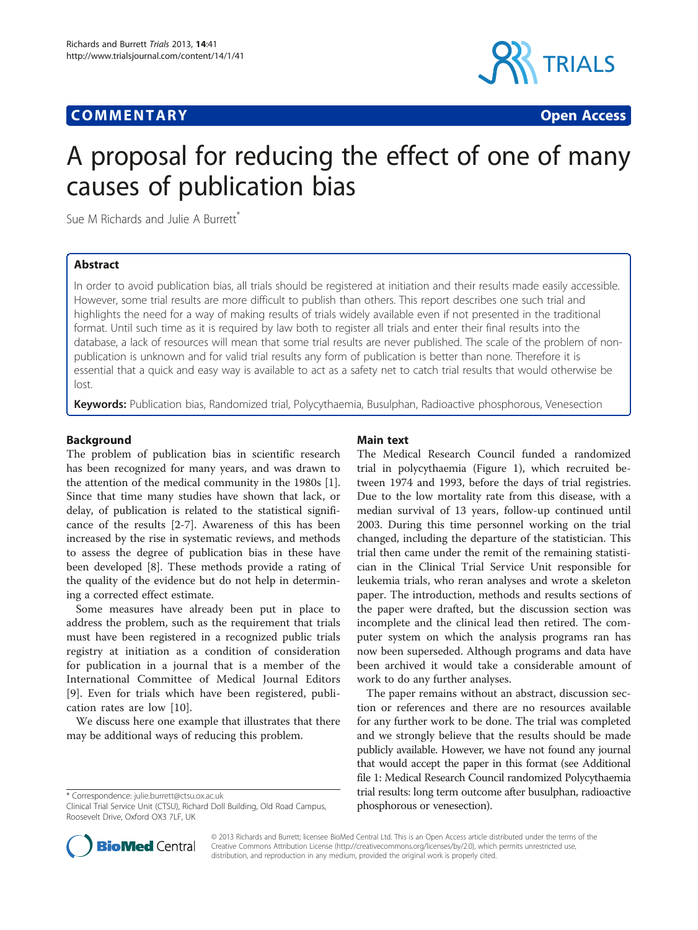# **COMMENTARY COMMENTARY Open Access**



# A proposal for reducing the effect of one of many causes of publication bias

Sue M Richards and Julie A Burrett<sup>\*</sup>

# Abstract

In order to avoid publication bias, all trials should be registered at initiation and their results made easily accessible. However, some trial results are more difficult to publish than others. This report describes one such trial and highlights the need for a way of making results of trials widely available even if not presented in the traditional format. Until such time as it is required by law both to register all trials and enter their final results into the database, a lack of resources will mean that some trial results are never published. The scale of the problem of nonpublication is unknown and for valid trial results any form of publication is better than none. Therefore it is essential that a quick and easy way is available to act as a safety net to catch trial results that would otherwise be lost.

Keywords: Publication bias, Randomized trial, Polycythaemia, Busulphan, Radioactive phosphorous, Venesection

### Background

The problem of publication bias in scientific research has been recognized for many years, and was drawn to the attention of the medical community in the 1980s [\[1](#page-1-0)]. Since that time many studies have shown that lack, or delay, of publication is related to the statistical significance of the results [\[2](#page-1-0)-[7\]](#page-1-0). Awareness of this has been increased by the rise in systematic reviews, and methods to assess the degree of publication bias in these have been developed [[8\]](#page-1-0). These methods provide a rating of the quality of the evidence but do not help in determining a corrected effect estimate.

Some measures have already been put in place to address the problem, such as the requirement that trials must have been registered in a recognized public trials registry at initiation as a condition of consideration for publication in a journal that is a member of the International Committee of Medical Journal Editors [[9\]](#page-1-0). Even for trials which have been registered, publication rates are low [[10\]](#page-1-0).

We discuss here one example that illustrates that there may be additional ways of reducing this problem.

\* Correspondence: [julie.burrett@ctsu.ox.ac.uk](mailto:julie.burrett@ctsu.ox.ac.uk)

# Main text

The Medical Research Council funded a randomized trial in polycythaemia (Figure [1\)](#page-1-0), which recruited between 1974 and 1993, before the days of trial registries. Due to the low mortality rate from this disease, with a median survival of 13 years, follow-up continued until 2003. During this time personnel working on the trial changed, including the departure of the statistician. This trial then came under the remit of the remaining statistician in the Clinical Trial Service Unit responsible for leukemia trials, who reran analyses and wrote a skeleton paper. The introduction, methods and results sections of the paper were drafted, but the discussion section was incomplete and the clinical lead then retired. The computer system on which the analysis programs ran has now been superseded. Although programs and data have been archived it would take a considerable amount of work to do any further analyses.

The paper remains without an abstract, discussion section or references and there are no resources available for any further work to be done. The trial was completed and we strongly believe that the results should be made publicly available. However, we have not found any journal that would accept the paper in this format (see Additional file [1:](#page-1-0) Medical Research Council randomized Polycythaemia trial results: long term outcome after busulphan, radioactive phosphorous or venesection).



© 2013 Richards and Burrett; licensee BioMed Central Ltd. This is an Open Access article distributed under the terms of the Creative Commons Attribution License (<http://creativecommons.org/licenses/by/2.0>), which permits unrestricted use, distribution, and reproduction in any medium, provided the original work is properly cited.

Clinical Trial Service Unit (CTSU), Richard Doll Building, Old Road Campus, Roosevelt Drive, Oxford OX3 7LF, UK